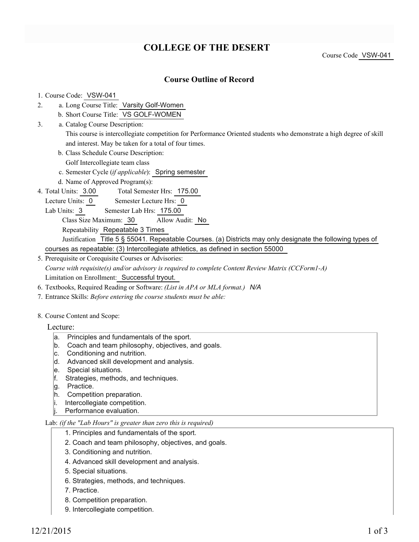# **COLLEGE OF THE DESERT**

Course Code VSW-041

## **Course Outline of Record**

#### 1. Course Code: VSW-041

- a. Long Course Title: Varsity Golf-Women 2.
	- b. Short Course Title: VS GOLF-WOMEN
- Catalog Course Description: a. This course is intercollegiate competition for Performance Oriented students who demonstrate a high degree of skill and interest. May be taken for a total of four times. 3.
	- b. Class Schedule Course Description:

Golf Intercollegiate team class

- c. Semester Cycle (*if applicable*): Spring semester
- d. Name of Approved Program(s):
- Total Semester Hrs: 175.00 4. Total Units: 3.00
- Lecture Units: 0 Semester Lecture Hrs: 0
- Lab Units: 3 Semester Lab Hrs: 175.00
	- Class Size Maximum: 30 Allow Audit: No

Repeatability Repeatable 3 Times

Justification Title 5 § 55041. Repeatable Courses. (a) Districts may only designate the following types of courses as repeatable: (3) Intercollegiate athletics, as defined in section 55000

- 5. Prerequisite or Corequisite Courses or Advisories: *Course with requisite(s) and/or advisory is required to complete Content Review Matrix (CCForm1-A)* Limitation on Enrollment: Successful tryout.
- 6. Textbooks, Required Reading or Software: *(List in APA or MLA format.) N/A*
- 7. Entrance Skills: *Before entering the course students must be able:*

### 8. Course Content and Scope:

- Lecture:
	- a. Principles and fundamentals of the sport.
	- b. Coach and team philosophy, objectives, and goals.
	- c. Conditioning and nutrition.
	- d. Advanced skill development and analysis.
	- e. Special situations.
	- f. Strategies, methods, and techniques.
	- g. Practice.
	- h. Competition preparation.
	- i. Intercollegiate competition.
	- Performance evaluation.

### Lab: *(if the "Lab Hours" is greater than zero this is required)*

- 1. Principles and fundamentals of the sport.
- 2. Coach and team philosophy, objectives, and goals.
- 3. Conditioning and nutrition.
- 4. Advanced skill development and analysis.
- 5. Special situations.
- 6. Strategies, methods, and techniques.
- 7. Practice.
- 8. Competition preparation.
- 9. Intercollegiate competition.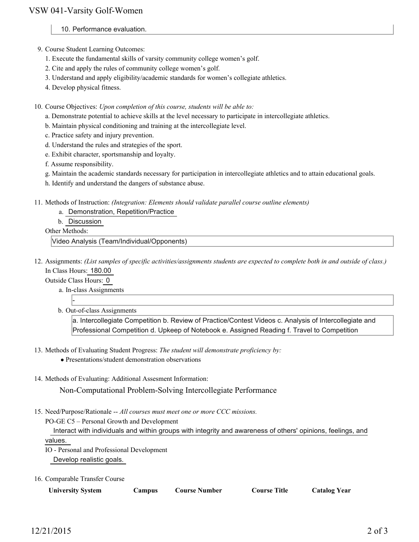- 10. Performance evaluation.
- 9. Course Student Learning Outcomes:
	- 1. Execute the fundamental skills of varsity community college women's golf.
	- 2. Cite and apply the rules of community college women's golf.
	- 3. Understand and apply eligibility/academic standards for women's collegiate athletics.
	- 4. Develop physical fitness.
- 10. Course Objectives: Upon completion of this course, students will be able to:
	- a. Demonstrate potential to achieve skills at the level necessary to participate in intercollegiate athletics.
	- b. Maintain physical conditioning and training at the intercollegiate level.
	- c. Practice safety and injury prevention.
	- d. Understand the rules and strategies of the sport.
	- e. Exhibit character, sportsmanship and loyalty.

f. Assume responsibility.

- g. Maintain the academic standards necessary for participation in intercollegiate athletics and to attain educational goals.
- h. Identify and understand the dangers of substance abuse.
- Methods of Instruction: *(Integration: Elements should validate parallel course outline elements)* 11.
	- a. Demonstration, Repetition/Practice
		- b. Discussion

Other Methods:

Video Analysis (Team/Individual/Opponents)

- 12. Assignments: (List samples of specific activities/assignments students are expected to complete both in and outside of class.) In Class Hours: 180.00
	- Outside Class Hours: 0

-

a. In-class Assignments

b. Out-of-class Assignments

a. Intercollegiate Competition b. Review of Practice/Contest Videos c. Analysis of Intercollegiate and Professional Competition d. Upkeep of Notebook e. Assigned Reading f. Travel to Competition

- 13. Methods of Evaluating Student Progress: The student will demonstrate proficiency by:
	- Presentations/student demonstration observations
- 14. Methods of Evaluating: Additional Assesment Information:

Non-Computational Problem-Solving Intercollegiate Performance

15. Need/Purpose/Rationale -- All courses must meet one or more CCC missions.

PO-GE C5 – Personal Growth and Development

 Interact with individuals and within groups with integrity and awareness of others' opinions, feelings, and values.

IO - Personal and Professional Development Develop realistic goals.

16. Comparable Transfer Course

| <b>University System</b> | Campus | Course Number | <b>Course Title</b> | <b>Catalog Year</b> |
|--------------------------|--------|---------------|---------------------|---------------------|
|                          |        |               |                     |                     |